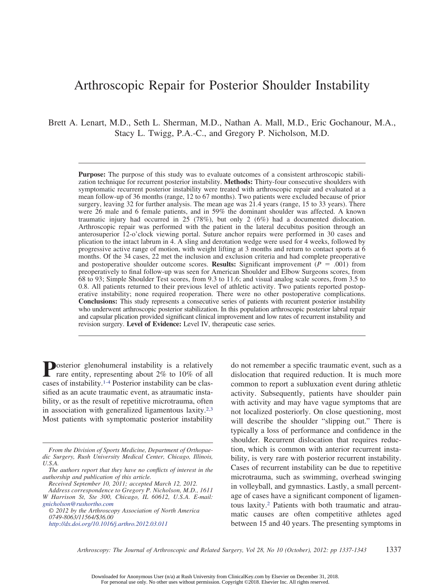# Arthroscopic Repair for Posterior Shoulder Instability

Brett A. Lenart, M.D., Seth L. Sherman, M.D., Nathan A. Mall, M.D., Eric Gochanour, M.A., Stacy L. Twigg, P.A.-C., and Gregory P. Nicholson, M.D.

**Purpose:** The purpose of this study was to evaluate outcomes of a consistent arthroscopic stabilization technique for recurrent posterior instability. **Methods:** Thirty-four consecutive shoulders with symptomatic recurrent posterior instability were treated with arthroscopic repair and evaluated at a mean follow-up of 36 months (range, 12 to 67 months). Two patients were excluded because of prior surgery, leaving 32 for further analysis. The mean age was 21.4 years (range, 15 to 33 years). There were 26 male and 6 female patients, and in 59% the dominant shoulder was affected. A known traumatic injury had occurred in 25 (78%), but only 2 (6%) had a documented dislocation. Arthroscopic repair was performed with the patient in the lateral decubitus position through an anterosuperior 12-o'clock viewing portal. Suture anchor repairs were performed in 30 cases and plication to the intact labrum in 4. A sling and derotation wedge were used for 4 weeks, followed by progressive active range of motion, with weight lifting at 3 months and return to contact sports at 6 months. Of the 34 cases, 22 met the inclusion and exclusion criteria and had complete preoperative and postoperative shoulder outcome scores. **Results:** Significant improvement  $(P = .001)$  from preoperatively to final follow-up was seen for American Shoulder and Elbow Surgeons scores, from 68 to 93; Simple Shoulder Test scores, from 9.3 to 11.6; and visual analog scale scores, from 3.5 to 0.8. All patients returned to their previous level of athletic activity. Two patients reported postoperative instability; none required reoperation. There were no other postoperative complications. **Conclusions:** This study represents a consecutive series of patients with recurrent posterior instability who underwent arthroscopic posterior stabilization. In this population arthroscopic posterior labral repair and capsular plication provided significant clinical improvement and low rates of recurrent instability and revision surgery. **Level of Evidence:** Level IV, therapeutic case series.

**Posterior** glenohumeral instability is a relatively rare entity, representing about 2% to 10% of all cases of instability.1-4 Posterior instability can be classified as an acute traumatic event, as atraumatic instability, or as the result of repetitive microtrauma, often in association with generalized ligamentous laxity.2,3 Most patients with symptomatic posterior instability do not remember a specific traumatic event, such as a dislocation that required reduction. It is much more common to report a subluxation event during athletic activity. Subsequently, patients have shoulder pain with activity and may have vague symptoms that are not localized posteriorly. On close questioning, most will describe the shoulder "slipping out." There is typically a loss of performance and confidence in the shoulder. Recurrent dislocation that requires reduction, which is common with anterior recurrent instability, is very rare with posterior recurrent instability. Cases of recurrent instability can be due to repetitive microtrauma, such as swimming, overhead swinging in volleyball, and gymnastics. Lastly, a small percentage of cases have a significant component of ligamentous laxity.2 Patients with both traumatic and atraumatic causes are often competitive athletes aged between 15 and 40 years. The presenting symptoms in

*From the Division of Sports Medicine, Department of Orthopaedic Surgery, Rush University Medical Center, Chicago, Illinois, U.S.A.*

*The authors report that they have no conflicts of interest in the authorship and publication of this article.*

*Received September 10, 2011; accepted March 12, 2012.*

*Address correspondence to Gregory P. Nicholson, M.D., 1611 W Harrison St, Ste 300, Chicago, IL 60612, U.S.A. E-mail: gnicholson@rushortho.com*

*<sup>© 2012</sup> by the Arthroscopy Association of North America 0749-8063/11564/\$36.00 http://dx.doi.org/10.1016/j.arthro.2012.03.011*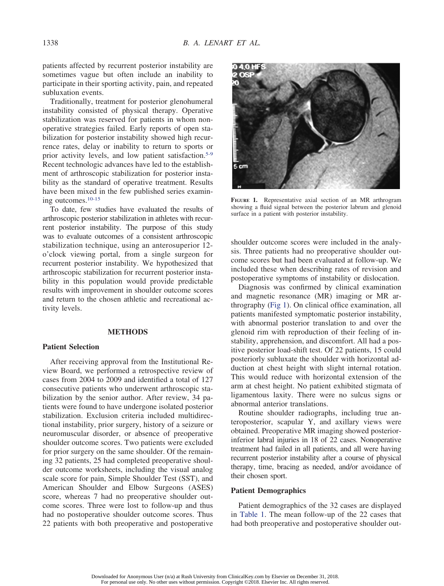patients affected by recurrent posterior instability are sometimes vague but often include an inability to participate in their sporting activity, pain, and repeated subluxation events.

Traditionally, treatment for posterior glenohumeral instability consisted of physical therapy. Operative stabilization was reserved for patients in whom nonoperative strategies failed. Early reports of open stabilization for posterior instability showed high recurrence rates, delay or inability to return to sports or prior activity levels, and low patient satisfaction.<sup>5-9</sup> Recent technologic advances have led to the establishment of arthroscopic stabilization for posterior instability as the standard of operative treatment. Results have been mixed in the few published series examining outcomes.10-15

To date, few studies have evaluated the results of arthroscopic posterior stabilization in athletes with recurrent posterior instability. The purpose of this study was to evaluate outcomes of a consistent arthroscopic stabilization technique, using an anterosuperior 12 o'clock viewing portal, from a single surgeon for recurrent posterior instability. We hypothesized that arthroscopic stabilization for recurrent posterior instability in this population would provide predictable results with improvement in shoulder outcome scores and return to the chosen athletic and recreational activity levels.

# **METHODS**

# **Patient Selection**

After receiving approval from the Institutional Review Board, we performed a retrospective review of cases from 2004 to 2009 and identified a total of 127 consecutive patients who underwent arthroscopic stabilization by the senior author. After review, 34 patients were found to have undergone isolated posterior stabilization. Exclusion criteria included multidirectional instability, prior surgery, history of a seizure or neuromuscular disorder, or absence of preoperative shoulder outcome scores. Two patients were excluded for prior surgery on the same shoulder. Of the remaining 32 patients, 25 had completed preoperative shoulder outcome worksheets, including the visual analog scale score for pain, Simple Shoulder Test (SST), and American Shoulder and Elbow Surgeons (ASES) score, whereas 7 had no preoperative shoulder outcome scores. Three were lost to follow-up and thus had no postoperative shoulder outcome scores. Thus 22 patients with both preoperative and postoperative



**FIGURE 1.** Representative axial section of an MR arthrogram showing a fluid signal between the posterior labrum and glenoid surface in a patient with posterior instability.

shoulder outcome scores were included in the analysis. Three patients had no preoperative shoulder outcome scores but had been evaluated at follow-up. We included these when describing rates of revision and postoperative symptoms of instability or dislocation.

Diagnosis was confirmed by clinical examination and magnetic resonance (MR) imaging or MR arthrography (Fig 1). On clinical office examination, all patients manifested symptomatic posterior instability, with abnormal posterior translation to and over the glenoid rim with reproduction of their feeling of instability, apprehension, and discomfort. All had a positive posterior load-shift test. Of 22 patients, 15 could posteriorly subluxate the shoulder with horizontal adduction at chest height with slight internal rotation. This would reduce with horizontal extension of the arm at chest height. No patient exhibited stigmata of ligamentous laxity. There were no sulcus signs or abnormal anterior translations.

Routine shoulder radiographs, including true anteroposterior, scapular Y, and axillary views were obtained. Preoperative MR imaging showed posteriorinferior labral injuries in 18 of 22 cases. Nonoperative treatment had failed in all patients, and all were having recurrent posterior instability after a course of physical therapy, time, bracing as needed, and/or avoidance of their chosen sport.

#### **Patient Demographics**

Patient demographics of the 32 cases are displayed in Table 1. The mean follow-up of the 22 cases that had both preoperative and postoperative shoulder out-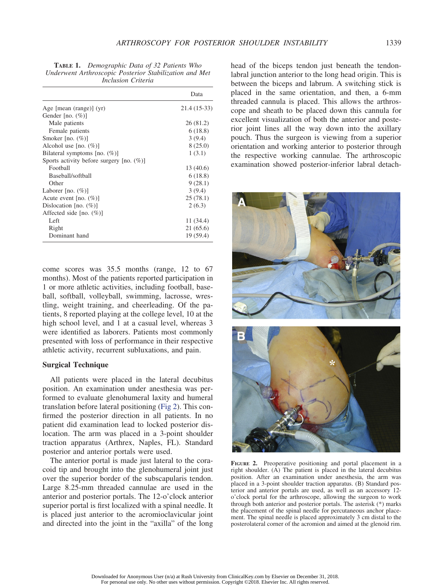**TABLE 1.** *Demographic Data of 32 Patients Who Underwent Arthroscopic Posterior Stabilization and Met Inclusion Criteria*

|                                            | Data         |
|--------------------------------------------|--------------|
| Age [mean (range)] $(yr)$                  | 21.4 (15-33) |
| Gender [no. $(\%)$ ]                       |              |
| Male patients                              | 26 (81.2)    |
| Female patients                            | 6(18.8)      |
| Smoker [no. $(\%)$ ]                       | 3(9.4)       |
| Alcohol use $[no. (%)]$                    | 8(25.0)      |
| Bilateral symptoms $[no. (%)]$             | 1(3.1)       |
| Sports activity before surgery $[no. (%)]$ |              |
| Football                                   | 13 (40.6)    |
| Baseball/softball                          | 6(18.8)      |
| Other                                      | 9(28.1)      |
| Laborer [no. $(\%)$ ]                      | 3(9.4)       |
| Acute event $[no. (%)]$                    | 25(78.1)     |
| Dislocation [no. $(\%)$ ]                  | 2(6.3)       |
| Affected side $[no. (%)]$                  |              |
| Left                                       | 11 (34.4)    |
| Right                                      | 21 (65.6)    |
| Dominant hand                              | 19 (59.4)    |

come scores was 35.5 months (range, 12 to 67 months). Most of the patients reported participation in 1 or more athletic activities, including football, baseball, softball, volleyball, swimming, lacrosse, wrestling, weight training, and cheerleading. Of the patients, 8 reported playing at the college level, 10 at the high school level, and 1 at a casual level, whereas 3 were identified as laborers. Patients most commonly presented with loss of performance in their respective athletic activity, recurrent subluxations, and pain.

## **Surgical Technique**

All patients were placed in the lateral decubitus position. An examination under anesthesia was performed to evaluate glenohumeral laxity and humeral translation before lateral positioning (Fig 2). This confirmed the posterior direction in all patients. In no patient did examination lead to locked posterior dislocation. The arm was placed in a 3-point shoulder traction apparatus (Arthrex, Naples, FL). Standard posterior and anterior portals were used.

The anterior portal is made just lateral to the coracoid tip and brought into the glenohumeral joint just over the superior border of the subscapularis tendon. Large 8.25-mm threaded cannulae are used in the anterior and posterior portals. The 12-o'clock anterior superior portal is first localized with a spinal needle. It is placed just anterior to the acromioclavicular joint and directed into the joint in the "axilla" of the long head of the biceps tendon just beneath the tendonlabral junction anterior to the long head origin. This is between the biceps and labrum. A switching stick is placed in the same orientation, and then, a 6-mm threaded cannula is placed. This allows the arthroscope and sheath to be placed down this cannula for excellent visualization of both the anterior and posterior joint lines all the way down into the axillary pouch. Thus the surgeon is viewing from a superior orientation and working anterior to posterior through the respective working cannulae. The arthroscopic examination showed posterior-inferior labral detach-





**FIGURE 2.** Preoperative positioning and portal placement in a right shoulder. (A) The patient is placed in the lateral decubitus position. After an examination under anesthesia, the arm was placed in a 3-point shoulder traction apparatus. (B) Standard posterior and anterior portals are used, as well as an accessory 12 o'clock portal for the arthroscope, allowing the surgeon to work through both anterior and posterior portals. The asterisk (\*) marks the placement of the spinal needle for percutaneous anchor placement. The spinal needle is placed approximately 3 cm distal to the posterolateral corner of the acromion and aimed at the glenoid rim.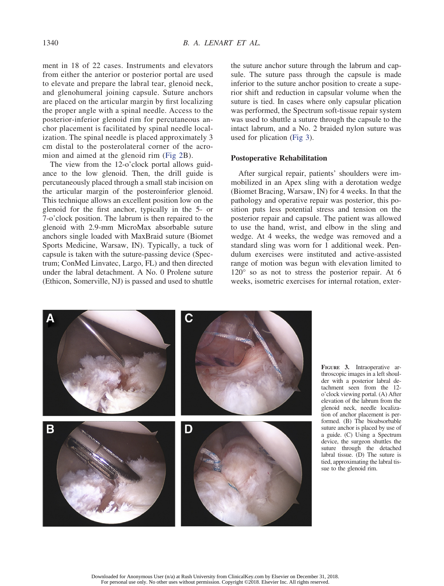ment in 18 of 22 cases. Instruments and elevators from either the anterior or posterior portal are used to elevate and prepare the labral tear, glenoid neck, and glenohumeral joining capsule. Suture anchors are placed on the articular margin by first localizing the proper angle with a spinal needle. Access to the posterior-inferior glenoid rim for percutaneous anchor placement is facilitated by spinal needle localization. The spinal needle is placed approximately 3 cm distal to the posterolateral corner of the acromion and aimed at the glenoid rim (Fig 2B).

The view from the 12-o'clock portal allows guidance to the low glenoid. Then, the drill guide is percutaneously placed through a small stab incision on the articular margin of the posteroinferior glenoid. This technique allows an excellent position low on the glenoid for the first anchor, typically in the 5- or 7-o'clock position. The labrum is then repaired to the glenoid with 2.9-mm MicroMax absorbable suture anchors single loaded with MaxBraid suture (Biomet Sports Medicine, Warsaw, IN). Typically, a tuck of capsule is taken with the suture-passing device (Spectrum; ConMed Linvatec, Largo, FL) and then directed under the labral detachment. A No. 0 Prolene suture (Ethicon, Somerville, NJ) is passed and used to shuttle

the suture anchor suture through the labrum and capsule. The suture pass through the capsule is made inferior to the suture anchor position to create a superior shift and reduction in capsular volume when the suture is tied. In cases where only capsular plication was performed, the Spectrum soft-tissue repair system was used to shuttle a suture through the capsule to the intact labrum, and a No. 2 braided nylon suture was used for plication (Fig 3).

#### **Postoperative Rehabilitation**

After surgical repair, patients' shoulders were immobilized in an Apex sling with a derotation wedge (Biomet Bracing, Warsaw, IN) for 4 weeks. In that the pathology and operative repair was posterior, this position puts less potential stress and tension on the posterior repair and capsule. The patient was allowed to use the hand, wrist, and elbow in the sling and wedge. At 4 weeks, the wedge was removed and a standard sling was worn for 1 additional week. Pendulum exercises were instituted and active-assisted range of motion was begun with elevation limited to 120° so as not to stress the posterior repair. At 6 weeks, isometric exercises for internal rotation, exter-



**FIGURE 3.** Intraoperative arthroscopic images in a left shoulder with a posterior labral detachment seen from the 12 o'clock viewing portal. (A) After elevation of the labrum from the glenoid neck, needle localization of anchor placement is performed. (B) The bioabsorbable suture anchor is placed by use of a guide. (C) Using a Spectrum device, the surgeon shuttles the suture through the detached labral tissue. (D) The suture is tied, approximating the labral tissue to the glenoid rim.

Downloaded for Anonymous User (n/a) at Rush University from ClinicalKey.com by Elsevier on December 31, 2018. For personal use only. No other uses without permission. Copyright ©2018. Elsevier Inc. All rights reserved.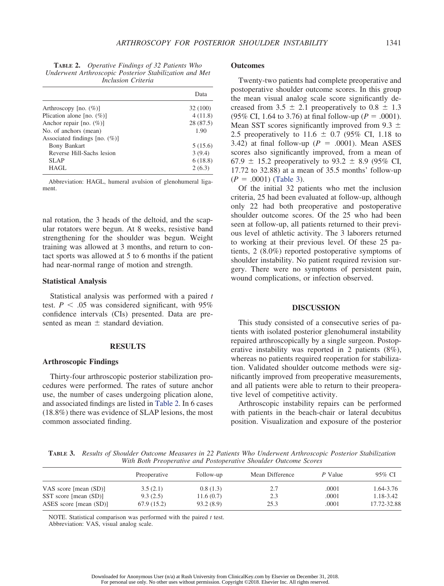**TABLE 2.** *Operative Findings of 32 Patients Who Underwent Arthroscopic Posterior Stabilization and Met Inclusion Criteria*

|                                 | Data      |
|---------------------------------|-----------|
| Arthroscopy [no. $(\%)$ ]       | 32 (100)  |
| Plication alone [no. $(\%)$ ]   | 4(11.8)   |
| Anchor repair [no. $(\%)$ ]     | 28 (87.5) |
| No. of anchors (mean)           | 1.90      |
| Associated findings $[no. (%)]$ |           |
| <b>Bony Bankart</b>             | 5(15.6)   |
| Reverse Hill-Sachs lesion       | 3(9.4)    |
| SLAP                            | 6(18.8)   |
| HAGL                            | 2(6.3)    |

Abbreviation: HAGL, humeral avulsion of glenohumeral ligament.

nal rotation, the 3 heads of the deltoid, and the scapular rotators were begun. At 8 weeks, resistive band strengthening for the shoulder was begun. Weight training was allowed at 3 months, and return to contact sports was allowed at 5 to 6 months if the patient had near-normal range of motion and strength.

#### **Statistical Analysis**

Statistical analysis was performed with a paired *t* test.  $P < .05$  was considered significant, with 95% confidence intervals (CIs) presented. Data are presented as mean  $\pm$  standard deviation.

# **RESULTS**

#### **Arthroscopic Findings**

Thirty-four arthroscopic posterior stabilization procedures were performed. The rates of suture anchor use, the number of cases undergoing plication alone, and associated findings are listed in Table 2. In 6 cases (18.8%) there was evidence of SLAP lesions, the most common associated finding.

#### **Outcomes**

Twenty-two patients had complete preoperative and postoperative shoulder outcome scores. In this group the mean visual analog scale score significantly decreased from 3.5  $\pm$  2.1 preoperatively to 0.8  $\pm$  1.3 (95% CI, 1.64 to 3.76) at final follow-up ( $P = .0001$ ). Mean SST scores significantly improved from 9.3  $\pm$ 2.5 preoperatively to 11.6  $\pm$  0.7 (95% CI, 1.18 to 3.42) at final follow-up  $(P = .0001)$ . Mean ASES scores also significantly improved, from a mean of 67.9  $\pm$  15.2 preoperatively to 93.2  $\pm$  8.9 (95% CI, 17.72 to 32.88) at a mean of 35.5 months' follow-up  $(P = .0001)$  (Table 3).

Of the initial 32 patients who met the inclusion criteria, 25 had been evaluated at follow-up, although only 22 had both preoperative and postoperative shoulder outcome scores. Of the 25 who had been seen at follow-up, all patients returned to their previous level of athletic activity. The 3 laborers returned to working at their previous level. Of these 25 patients, 2 (8.0%) reported postoperative symptoms of shoulder instability. No patient required revision surgery. There were no symptoms of persistent pain, wound complications, or infection observed.

#### **DISCUSSION**

This study consisted of a consecutive series of patients with isolated posterior glenohumeral instability repaired arthroscopically by a single surgeon. Postoperative instability was reported in 2 patients (8%), whereas no patients required reoperation for stabilization. Validated shoulder outcome methods were significantly improved from preoperative measurements, and all patients were able to return to their preoperative level of competitive activity.

Arthroscopic instability repairs can be performed with patients in the beach-chair or lateral decubitus position. Visualization and exposure of the posterior

**TABLE 3.** *Results of Shoulder Outcome Measures in 22 Patients Who Underwent Arthroscopic Posterior Stabilization With Both Preoperative and Postoperative Shoulder Outcome Scores*

|                          | Preoperative | Follow-up | Mean Difference | P Value | 95% CI      |
|--------------------------|--------------|-----------|-----------------|---------|-------------|
| VAS score [mean $(SD)$ ] | 3.5(2.1)     | 0.8(1.3)  | 2.7             | .0001   | 1.64-3.76   |
| SST score [mean (SD)]    | 9.3(2.5)     | 11.6(0.7) | 2.3             | .0001   | 1.18-3.42   |
| ASES score [mean (SD)]   | 67.9(15.2)   | 93.2(8.9) | 25.3            | .0001   | 17.72-32.88 |

NOTE. Statistical comparison was performed with the paired *t* test.

Abbreviation: VAS, visual analog scale.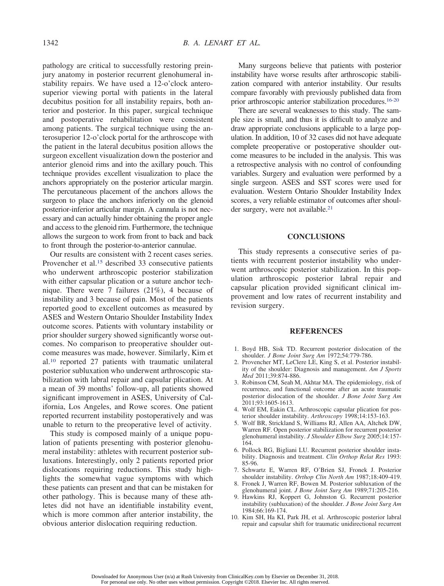pathology are critical to successfully restoring preinjury anatomy in posterior recurrent glenohumeral instability repairs. We have used a 12-o'clock anterosuperior viewing portal with patients in the lateral decubitus position for all instability repairs, both anterior and posterior. In this paper, surgical technique and postoperative rehabilitation were consistent among patients. The surgical technique using the anterosuperior 12-o'clock portal for the arthroscope with the patient in the lateral decubitus position allows the surgeon excellent visualization down the posterior and anterior glenoid rims and into the axillary pouch. This technique provides excellent visualization to place the anchors appropriately on the posterior articular margin. The percutaneous placement of the anchors allows the surgeon to place the anchors inferiorly on the glenoid posterior-inferior articular margin. A cannula is not necessary and can actually hinder obtaining the proper angle and access to the glenoid rim. Furthermore, the technique allows the surgeon to work from front to back and back to front through the posterior-to-anterior cannulae.

Our results are consistent with 2 recent cases series. Provencher et al.<sup>15</sup> described 33 consecutive patients who underwent arthroscopic posterior stabilization with either capsular plication or a suture anchor technique. There were 7 failures (21%), 4 because of instability and 3 because of pain. Most of the patients reported good to excellent outcomes as measured by ASES and Western Ontario Shoulder Instability Index outcome scores. Patients with voluntary instability or prior shoulder surgery showed significantly worse outcomes. No comparison to preoperative shoulder outcome measures was made, however. Similarly, Kim et al.10 reported 27 patients with traumatic unilateral posterior subluxation who underwent arthroscopic stabilization with labral repair and capsular plication. At a mean of 39 months' follow-up, all patients showed significant improvement in ASES, University of California, Los Angeles, and Rowe scores. One patient reported recurrent instability postoperatively and was unable to return to the preoperative level of activity.

This study is composed mainly of a unique population of patients presenting with posterior glenohumeral instability: athletes with recurrent posterior subluxations. Interestingly, only 2 patients reported prior dislocations requiring reductions. This study highlights the somewhat vague symptoms with which these patients can present and that can be mistaken for other pathology. This is because many of these athletes did not have an identifiable instability event, which is more common after anterior instability, the obvious anterior dislocation requiring reduction.

Many surgeons believe that patients with posterior instability have worse results after arthroscopic stabilization compared with anterior instability. Our results compare favorably with previously published data from prior arthroscopic anterior stabilization procedures.16-20

There are several weaknesses to this study. The sample size is small, and thus it is difficult to analyze and draw appropriate conclusions applicable to a large population. In addition, 10 of 32 cases did not have adequate complete preoperative or postoperative shoulder outcome measures to be included in the analysis. This was a retrospective analysis with no control of confounding variables. Surgery and evaluation were performed by a single surgeon. ASES and SST scores were used for evaluation. Western Ontario Shoulder Instability Index scores, a very reliable estimator of outcomes after shoulder surgery, were not available.<sup>21</sup>

## **CONCLUSIONS**

This study represents a consecutive series of patients with recurrent posterior instability who underwent arthroscopic posterior stabilization. In this population arthroscopic posterior labral repair and capsular plication provided significant clinical improvement and low rates of recurrent instability and revision surgery.

# **REFERENCES**

- 1. Boyd HB, Sisk TD. Recurrent posterior dislocation of the shoulder. *J Bone Joint Surg Am* 1972;54:779-786.
- 2. Provencher MT, LeClere LE, King S, et al. Posterior instability of the shoulder: Diagnosis and management. *Am J Sports Med* 2011;39:874-886.
- 3. Robinson CM, Seah M, Akhtar MA. The epidemiology, risk of recurrence, and functional outcome after an acute traumatic posterior dislocation of the shoulder. *J Bone Joint Surg Am* 2011;93:1605-1613.
- 4. Wolf EM, Eakin CL. Arthroscopic capsular plication for posterior shoulder instability. *Arthroscopy* 1998;14:153-163.
- 5. Wolf BR, Strickland S, Williams RJ, Allen AA, Altchek DW, Warren RF. Open posterior stabilization for recurrent posterior glenohumeral instability. *J Shoulder Elbow Surg* 2005;14:157- 164.
- 6. Pollock RG, Bigliani LU. Recurrent posterior shoulder instability. Diagnosis and treatment. *Clin Orthop Relat Res* 1993: 85-96.
- 7. Schwartz E, Warren RF, O'Brien SJ, Fronek J. Posterior shoulder instability. *Orthop Clin North Am* 1987;18:409-419.
- 8. Fronek J, Warren RF, Bowen M. Posterior subluxation of the glenohumeral joint. *J Bone Joint Surg Am* 1989;71:205-216.
- 9. Hawkins RJ, Koppert G, Johnston G. Recurrent posterior instability (subluxation) of the shoulder. *J Bone Joint Surg Am* 1984;66:169-174.
- 10. Kim SH, Ha KI, Park JH, et al. Arthroscopic posterior labral repair and capsular shift for traumatic unidirectional recurrent